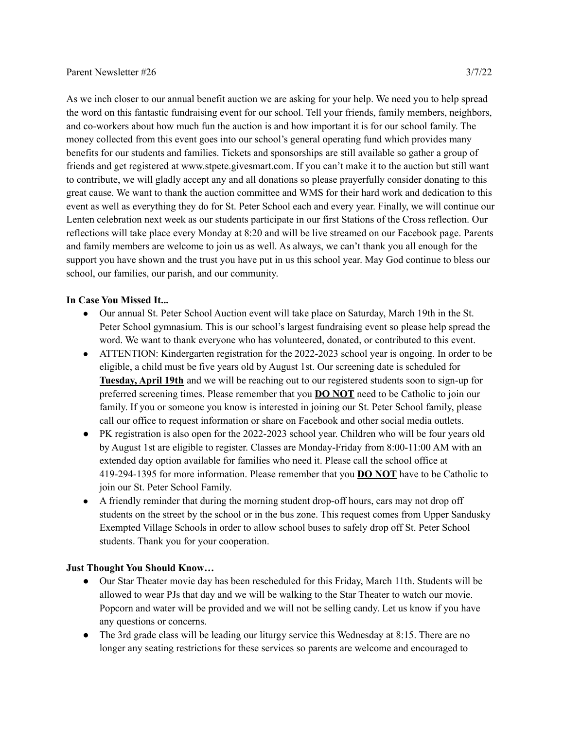As we inch closer to our annual benefit auction we are asking for your help. We need you to help spread the word on this fantastic fundraising event for our school. Tell your friends, family members, neighbors, and co-workers about how much fun the auction is and how important it is for our school family. The money collected from this event goes into our school's general operating fund which provides many benefits for our students and families. Tickets and sponsorships are still available so gather a group of friends and get registered at www.stpete.givesmart.com. If you can't make it to the auction but still want to contribute, we will gladly accept any and all donations so please prayerfully consider donating to this great cause. We want to thank the auction committee and WMS for their hard work and dedication to this event as well as everything they do for St. Peter School each and every year. Finally, we will continue our Lenten celebration next week as our students participate in our first Stations of the Cross reflection. Our reflections will take place every Monday at 8:20 and will be live streamed on our Facebook page. Parents and family members are welcome to join us as well. As always, we can't thank you all enough for the support you have shown and the trust you have put in us this school year. May God continue to bless our school, our families, our parish, and our community.

## **In Case You Missed It...**

- Our annual St. Peter School Auction event will take place on Saturday, March 19th in the St. Peter School gymnasium. This is our school's largest fundraising event so please help spread the word. We want to thank everyone who has volunteered, donated, or contributed to this event.
- ATTENTION: Kindergarten registration for the 2022-2023 school year is ongoing. In order to be eligible, a child must be five years old by August 1st. Our screening date is scheduled for **Tuesday, April 19th** and we will be reaching out to our registered students soon to sign-up for preferred screening times. Please remember that you **DO NOT** need to be Catholic to join our family. If you or someone you know is interested in joining our St. Peter School family, please call our office to request information or share on Facebook and other social media outlets.
- PK registration is also open for the 2022-2023 school year. Children who will be four years old by August 1st are eligible to register. Classes are Monday-Friday from 8:00-11:00 AM with an extended day option available for families who need it. Please call the school office at 419-294-1395 for more information. Please remember that you **DO NOT** have to be Catholic to join our St. Peter School Family.
- A friendly reminder that during the morning student drop-off hours, cars may not drop off students on the street by the school or in the bus zone. This request comes from Upper Sandusky Exempted Village Schools in order to allow school buses to safely drop off St. Peter School students. Thank you for your cooperation.

## **Just Thought You Should Know…**

- Our Star Theater movie day has been rescheduled for this Friday, March 11th. Students will be allowed to wear PJs that day and we will be walking to the Star Theater to watch our movie. Popcorn and water will be provided and we will not be selling candy. Let us know if you have any questions or concerns.
- The 3rd grade class will be leading our liturgy service this Wednesday at 8:15. There are no longer any seating restrictions for these services so parents are welcome and encouraged to